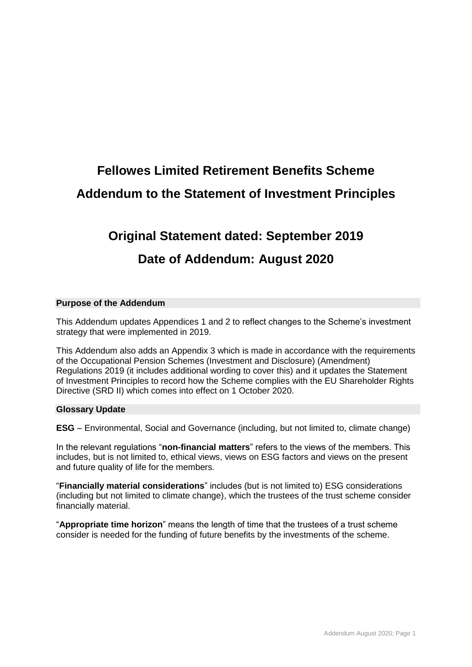# **Fellowes Limited Retirement Benefits Scheme Addendum to the Statement of Investment Principles**

## **Original Statement dated: September 2019**

### **Date of Addendum: August 2020**

### **Purpose of the Addendum**

This Addendum updates Appendices 1 and 2 to reflect changes to the Scheme's investment strategy that were implemented in 2019.

This Addendum also adds an Appendix 3 which is made in accordance with the requirements of the Occupational Pension Schemes (Investment and Disclosure) (Amendment) Regulations 2019 (it includes additional wording to cover this) and it updates the Statement of Investment Principles to record how the Scheme complies with the EU Shareholder Rights Directive (SRD II) which comes into effect on 1 October 2020.

#### **Glossary Update**

**ESG** – Environmental, Social and Governance (including, but not limited to, climate change)

In the relevant regulations "**non-financial matters**" refers to the views of the members. This includes, but is not limited to, ethical views, views on ESG factors and views on the present and future quality of life for the members.

"**Financially material considerations**" includes (but is not limited to) ESG considerations (including but not limited to climate change), which the trustees of the trust scheme consider financially material.

"**Appropriate time horizon**" means the length of time that the trustees of a trust scheme consider is needed for the funding of future benefits by the investments of the scheme.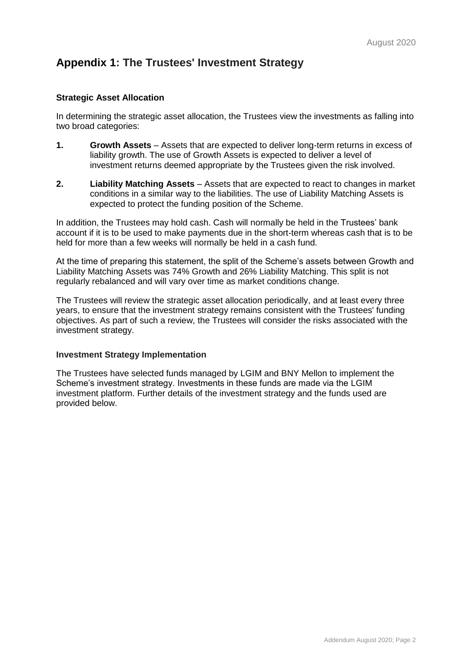### **Appendix 1: The Trustees' Investment Strategy**

### **Strategic Asset Allocation**

In determining the strategic asset allocation, the Trustees view the investments as falling into two broad categories:

- **1. Growth Assets** Assets that are expected to deliver long-term returns in excess of liability growth. The use of Growth Assets is expected to deliver a level of investment returns deemed appropriate by the Trustees given the risk involved.
- **2. Liability Matching Assets** Assets that are expected to react to changes in market conditions in a similar way to the liabilities. The use of Liability Matching Assets is expected to protect the funding position of the Scheme.

In addition, the Trustees may hold cash. Cash will normally be held in the Trustees' bank account if it is to be used to make payments due in the short-term whereas cash that is to be held for more than a few weeks will normally be held in a cash fund.

At the time of preparing this statement, the split of the Scheme's assets between Growth and Liability Matching Assets was 74% Growth and 26% Liability Matching. This split is not regularly rebalanced and will vary over time as market conditions change.

The Trustees will review the strategic asset allocation periodically, and at least every three years, to ensure that the investment strategy remains consistent with the Trustees' funding objectives. As part of such a review, the Trustees will consider the risks associated with the investment strategy.

#### **Investment Strategy Implementation**

The Trustees have selected funds managed by LGIM and BNY Mellon to implement the Scheme's investment strategy. Investments in these funds are made via the LGIM investment platform. Further details of the investment strategy and the funds used are provided below.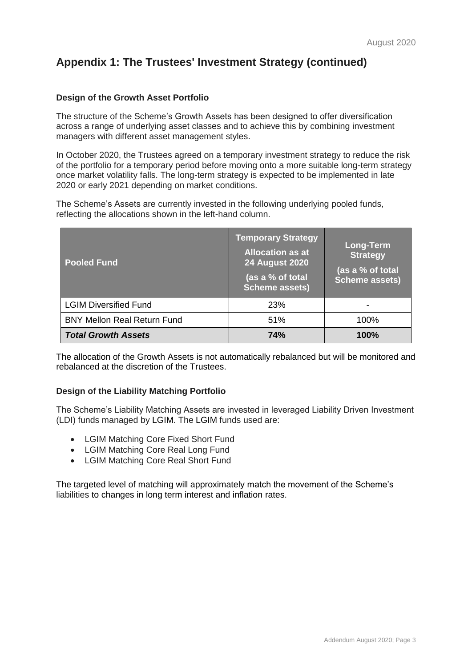### **Appendix 1: The Trustees' Investment Strategy (continued)**

### **Design of the Growth Asset Portfolio**

The structure of the Scheme's Growth Assets has been designed to offer diversification across a range of underlying asset classes and to achieve this by combining investment managers with different asset management styles.

In October 2020, the Trustees agreed on a temporary investment strategy to reduce the risk of the portfolio for a temporary period before moving onto a more suitable long-term strategy once market volatility falls. The long-term strategy is expected to be implemented in late 2020 or early 2021 depending on market conditions.

The Scheme's Assets are currently invested in the following underlying pooled funds, reflecting the allocations shown in the left-hand column.

| <b>Pooled Fund</b>                 | <b>Temporary Strategy</b><br><b>Allocation as at</b><br><b>24 August 2020</b><br>(as a % of total<br><b>Scheme assets)</b> | <b>Long-Term</b><br><b>Strategy</b><br>(as a % of total<br><b>Scheme assets)</b> |
|------------------------------------|----------------------------------------------------------------------------------------------------------------------------|----------------------------------------------------------------------------------|
| <b>LGIM Diversified Fund</b>       | 23%                                                                                                                        |                                                                                  |
| <b>BNY Mellon Real Return Fund</b> | 51%                                                                                                                        | 100%                                                                             |
| <b>Total Growth Assets</b>         | <b>74%</b>                                                                                                                 | $100\%$                                                                          |

The allocation of the Growth Assets is not automatically rebalanced but will be monitored and rebalanced at the discretion of the Trustees.

#### **Design of the Liability Matching Portfolio**

The Scheme's Liability Matching Assets are invested in leveraged Liability Driven Investment (LDI) funds managed by LGIM. The LGIM funds used are:

- LGIM Matching Core Fixed Short Fund
- LGIM Matching Core Real Long Fund
- LGIM Matching Core Real Short Fund

The targeted level of matching will approximately match the movement of the Scheme's liabilities to changes in long term interest and inflation rates.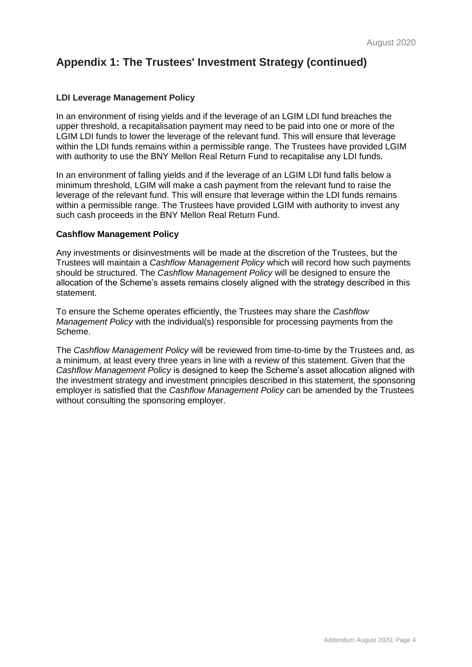### **Appendix 1: The Trustees' Investment Strategy (continued)**

#### **LDI Leverage Management Policy**

In an environment of rising yields and if the leverage of an LGIM LDI fund breaches the upper threshold, a recapitalisation payment may need to be paid into one or more of the LGIM LDI funds to lower the leverage of the relevant fund. This will ensure that leverage within the LDI funds remains within a permissible range. The Trustees have provided LGIM with authority to use the BNY Mellon Real Return Fund to recapitalise any LDI funds.

In an environment of falling yields and if the leverage of an LGIM LDI fund falls below a minimum threshold, LGIM will make a cash payment from the relevant fund to raise the leverage of the relevant fund. This will ensure that leverage within the LDI funds remains within a permissible range. The Trustees have provided LGIM with authority to invest any such cash proceeds in the BNY Mellon Real Return Fund.

#### **Cashflow Management Policy**

Any investments or disinvestments will be made at the discretion of the Trustees, but the Trustees will maintain a *Cashflow Management Policy* which will record how such payments should be structured. The *Cashflow Management Policy* will be designed to ensure the allocation of the Scheme's assets remains closely aligned with the strategy described in this statement.

To ensure the Scheme operates efficiently, the Trustees may share the *Cashflow Management Policy* with the individual(s) responsible for processing payments from the Scheme.

The *Cashflow Management Policy* will be reviewed from time-to-time by the Trustees and, as a minimum, at least every three years in line with a review of this statement. Given that the *Cashflow Management Policy* is designed to keep the Scheme's asset allocation aligned with the investment strategy and investment principles described in this statement, the sponsoring employer is satisfied that the *Cashflow Management Policy* can be amended by the Trustees without consulting the sponsoring employer.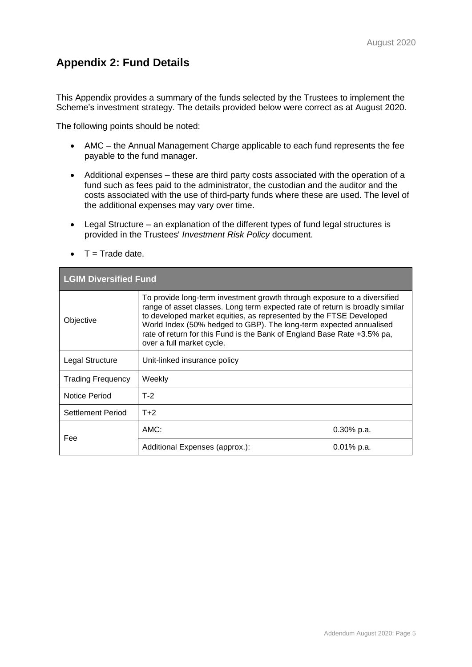### **Appendix 2: Fund Details**

This Appendix provides a summary of the funds selected by the Trustees to implement the Scheme's investment strategy. The details provided below were correct as at August 2020.

The following points should be noted:

- AMC the Annual Management Charge applicable to each fund represents the fee payable to the fund manager.
- Additional expenses these are third party costs associated with the operation of a fund such as fees paid to the administrator, the custodian and the auditor and the costs associated with the use of third-party funds where these are used. The level of the additional expenses may vary over time.
- Legal Structure an explanation of the different types of fund legal structures is provided in the Trustees' *Investment Risk Policy* document.
- $\bullet$  T = Trade date.

| <b>LGIM Diversified Fund</b> |                                                                                                                                                                                                                                                                                                                                                                                                              |               |  |  |
|------------------------------|--------------------------------------------------------------------------------------------------------------------------------------------------------------------------------------------------------------------------------------------------------------------------------------------------------------------------------------------------------------------------------------------------------------|---------------|--|--|
| Objective                    | To provide long-term investment growth through exposure to a diversified<br>range of asset classes. Long term expected rate of return is broadly similar<br>to developed market equities, as represented by the FTSE Developed<br>World Index (50% hedged to GBP). The long-term expected annualised<br>rate of return for this Fund is the Bank of England Base Rate +3.5% pa,<br>over a full market cycle. |               |  |  |
| Legal Structure              | Unit-linked insurance policy                                                                                                                                                                                                                                                                                                                                                                                 |               |  |  |
| <b>Trading Frequency</b>     | Weekly                                                                                                                                                                                                                                                                                                                                                                                                       |               |  |  |
| Notice Period                | $T-2$                                                                                                                                                                                                                                                                                                                                                                                                        |               |  |  |
| Settlement Period            | $T+2$                                                                                                                                                                                                                                                                                                                                                                                                        |               |  |  |
| Fee                          | AMC:                                                                                                                                                                                                                                                                                                                                                                                                         | $0.30\%$ p.a. |  |  |
|                              | Additional Expenses (approx.):                                                                                                                                                                                                                                                                                                                                                                               | $0.01\%$ p.a. |  |  |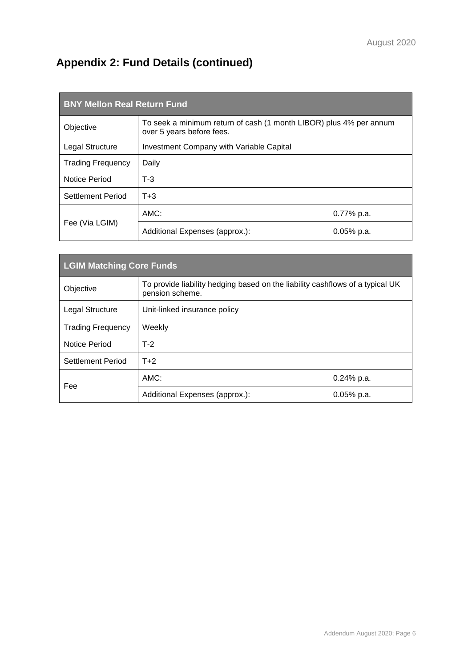## **Appendix 2: Fund Details (continued)**

| <b>BNY Mellon Real Return Fund</b> |                                                                                                 |               |  |  |
|------------------------------------|-------------------------------------------------------------------------------------------------|---------------|--|--|
| Objective                          | To seek a minimum return of cash (1 month LIBOR) plus 4% per annum<br>over 5 years before fees. |               |  |  |
| Legal Structure                    | Investment Company with Variable Capital                                                        |               |  |  |
| <b>Trading Frequency</b>           | Daily                                                                                           |               |  |  |
| Notice Period                      | $T-3$                                                                                           |               |  |  |
| <b>Settlement Period</b>           | $T + 3$                                                                                         |               |  |  |
| Fee (Via LGIM)                     | AMC:                                                                                            | $0.77\%$ p.a. |  |  |
|                                    | Additional Expenses (approx.):                                                                  | $0.05\%$ p.a. |  |  |

| <b>LGIM Matching Core Funds</b> |                                                                                                  |               |  |  |
|---------------------------------|--------------------------------------------------------------------------------------------------|---------------|--|--|
| Objective                       | To provide liability hedging based on the liability cashflows of a typical UK<br>pension scheme. |               |  |  |
| Legal Structure                 | Unit-linked insurance policy                                                                     |               |  |  |
| <b>Trading Frequency</b>        | Weekly                                                                                           |               |  |  |
| Notice Period                   | $T-2$                                                                                            |               |  |  |
| Settlement Period               | $T+2$                                                                                            |               |  |  |
| Fee                             | AMC:                                                                                             | $0.24\%$ p.a. |  |  |
|                                 | Additional Expenses (approx.):                                                                   | 0.05% p.a.    |  |  |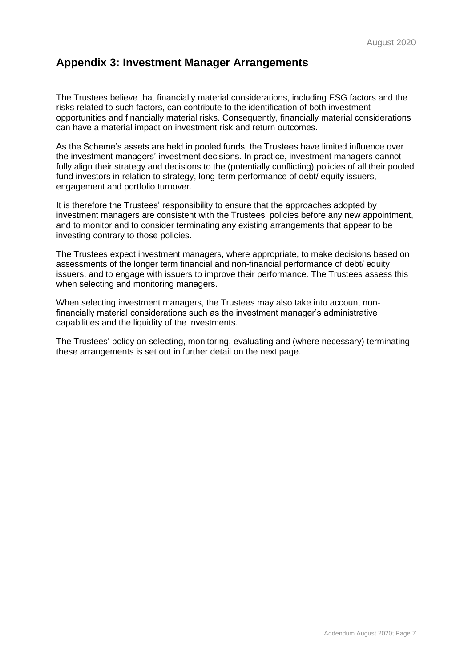### **Appendix 3: Investment Manager Arrangements**

The Trustees believe that financially material considerations, including ESG factors and the risks related to such factors, can contribute to the identification of both investment opportunities and financially material risks. Consequently, financially material considerations can have a material impact on investment risk and return outcomes.

As the Scheme's assets are held in pooled funds, the Trustees have limited influence over the investment managers' investment decisions. In practice, investment managers cannot fully align their strategy and decisions to the (potentially conflicting) policies of all their pooled fund investors in relation to strategy, long-term performance of debt/ equity issuers, engagement and portfolio turnover.

It is therefore the Trustees' responsibility to ensure that the approaches adopted by investment managers are consistent with the Trustees' policies before any new appointment, and to monitor and to consider terminating any existing arrangements that appear to be investing contrary to those policies.

The Trustees expect investment managers, where appropriate, to make decisions based on assessments of the longer term financial and non-financial performance of debt/ equity issuers, and to engage with issuers to improve their performance. The Trustees assess this when selecting and monitoring managers.

When selecting investment managers, the Trustees may also take into account nonfinancially material considerations such as the investment manager's administrative capabilities and the liquidity of the investments.

The Trustees' policy on selecting, monitoring, evaluating and (where necessary) terminating these arrangements is set out in further detail on the next page.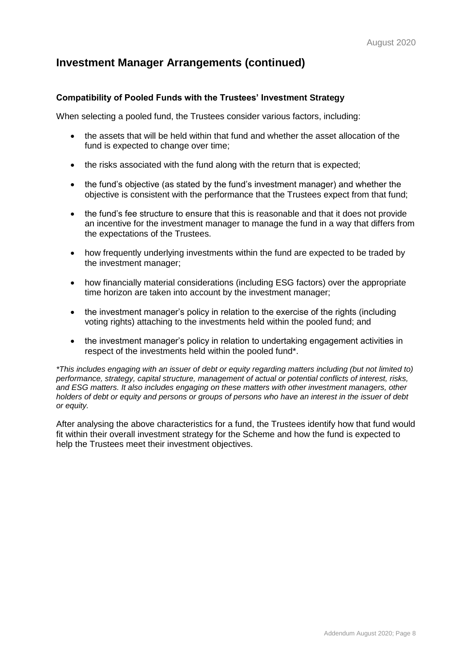### **Compatibility of Pooled Funds with the Trustees' Investment Strategy**

When selecting a pooled fund, the Trustees consider various factors, including:

- the assets that will be held within that fund and whether the asset allocation of the fund is expected to change over time;
- the risks associated with the fund along with the return that is expected;
- the fund's objective (as stated by the fund's investment manager) and whether the objective is consistent with the performance that the Trustees expect from that fund;
- the fund's fee structure to ensure that this is reasonable and that it does not provide an incentive for the investment manager to manage the fund in a way that differs from the expectations of the Trustees.
- how frequently underlying investments within the fund are expected to be traded by the investment manager;
- how financially material considerations (including ESG factors) over the appropriate time horizon are taken into account by the investment manager;
- the investment manager's policy in relation to the exercise of the rights (including voting rights) attaching to the investments held within the pooled fund; and
- the investment manager's policy in relation to undertaking engagement activities in respect of the investments held within the pooled fund\*.

*\*This includes engaging with an issuer of debt or equity regarding matters including (but not limited to) performance, strategy, capital structure, management of actual or potential conflicts of interest, risks, and ESG matters. It also includes engaging on these matters with other investment managers, other holders of debt or equity and persons or groups of persons who have an interest in the issuer of debt or equity.*

After analysing the above characteristics for a fund, the Trustees identify how that fund would fit within their overall investment strategy for the Scheme and how the fund is expected to help the Trustees meet their investment objectives.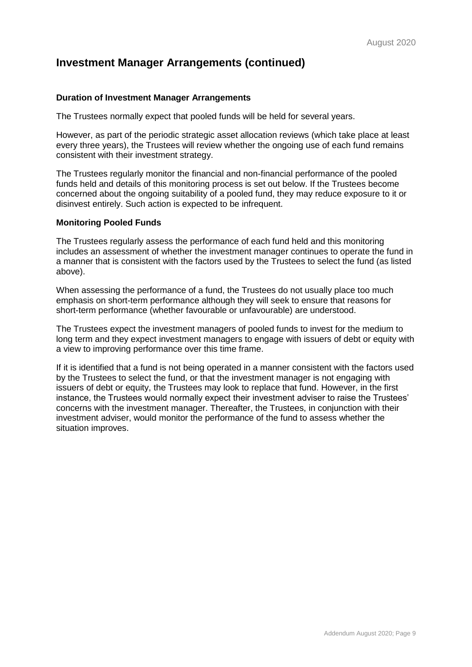#### **Duration of Investment Manager Arrangements**

The Trustees normally expect that pooled funds will be held for several years.

However, as part of the periodic strategic asset allocation reviews (which take place at least every three years), the Trustees will review whether the ongoing use of each fund remains consistent with their investment strategy.

The Trustees regularly monitor the financial and non-financial performance of the pooled funds held and details of this monitoring process is set out below. If the Trustees become concerned about the ongoing suitability of a pooled fund, they may reduce exposure to it or disinvest entirely. Such action is expected to be infrequent.

#### **Monitoring Pooled Funds**

The Trustees regularly assess the performance of each fund held and this monitoring includes an assessment of whether the investment manager continues to operate the fund in a manner that is consistent with the factors used by the Trustees to select the fund (as listed above).

When assessing the performance of a fund, the Trustees do not usually place too much emphasis on short-term performance although they will seek to ensure that reasons for short-term performance (whether favourable or unfavourable) are understood.

The Trustees expect the investment managers of pooled funds to invest for the medium to long term and they expect investment managers to engage with issuers of debt or equity with a view to improving performance over this time frame.

If it is identified that a fund is not being operated in a manner consistent with the factors used by the Trustees to select the fund, or that the investment manager is not engaging with issuers of debt or equity, the Trustees may look to replace that fund. However, in the first instance, the Trustees would normally expect their investment adviser to raise the Trustees' concerns with the investment manager. Thereafter, the Trustees, in conjunction with their investment adviser, would monitor the performance of the fund to assess whether the situation improves.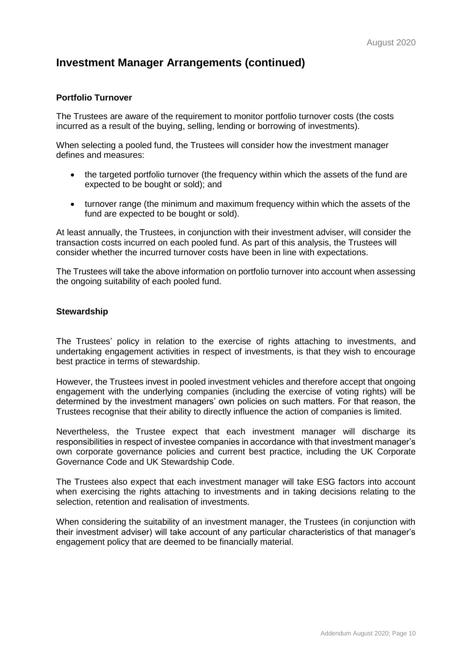#### **Portfolio Turnover**

The Trustees are aware of the requirement to monitor portfolio turnover costs (the costs incurred as a result of the buying, selling, lending or borrowing of investments).

When selecting a pooled fund, the Trustees will consider how the investment manager defines and measures:

- the targeted portfolio turnover (the frequency within which the assets of the fund are expected to be bought or sold); and
- turnover range (the minimum and maximum frequency within which the assets of the fund are expected to be bought or sold).

At least annually, the Trustees, in conjunction with their investment adviser, will consider the transaction costs incurred on each pooled fund. As part of this analysis, the Trustees will consider whether the incurred turnover costs have been in line with expectations.

The Trustees will take the above information on portfolio turnover into account when assessing the ongoing suitability of each pooled fund.

#### **Stewardship**

The Trustees' policy in relation to the exercise of rights attaching to investments, and undertaking engagement activities in respect of investments, is that they wish to encourage best practice in terms of stewardship.

However, the Trustees invest in pooled investment vehicles and therefore accept that ongoing engagement with the underlying companies (including the exercise of voting rights) will be determined by the investment managers' own policies on such matters. For that reason, the Trustees recognise that their ability to directly influence the action of companies is limited.

Nevertheless, the Trustee expect that each investment manager will discharge its responsibilities in respect of investee companies in accordance with that investment manager's own corporate governance policies and current best practice, including the UK Corporate Governance Code and UK Stewardship Code.

The Trustees also expect that each investment manager will take ESG factors into account when exercising the rights attaching to investments and in taking decisions relating to the selection, retention and realisation of investments.

When considering the suitability of an investment manager, the Trustees (in conjunction with their investment adviser) will take account of any particular characteristics of that manager's engagement policy that are deemed to be financially material.